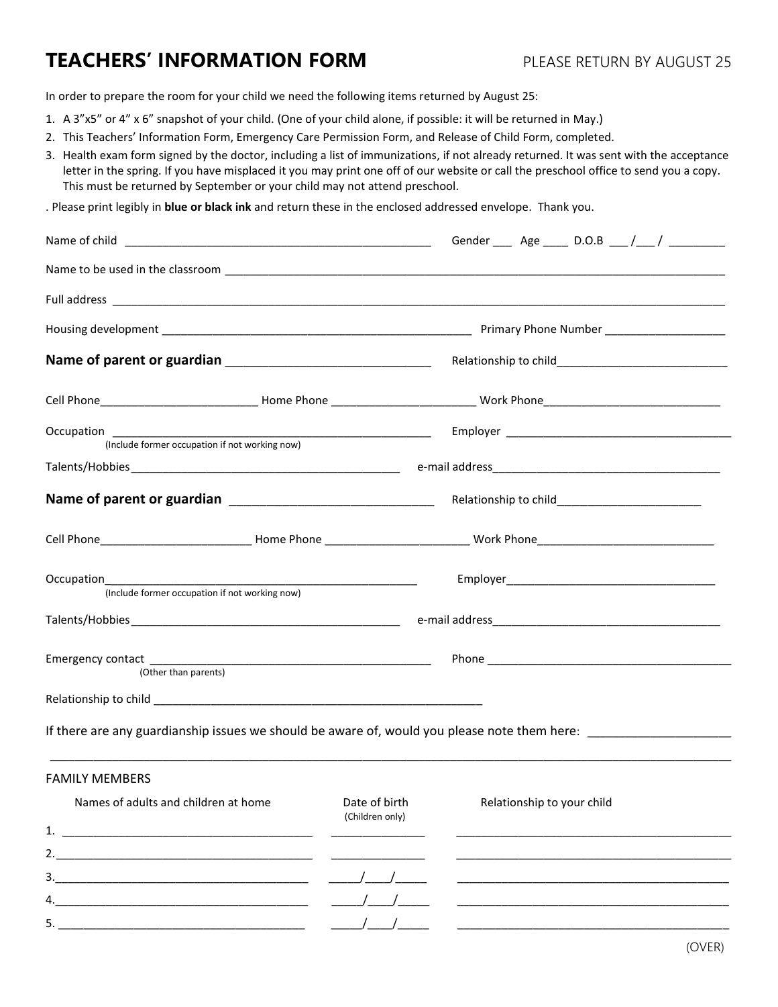## **TEACHERS' INFORMATION FORM** PLEASE RETURN BY AUGUST 25

In order to prepare the room for your child we need the following items returned by August 25:

- 1. A 3"x5" or 4" x 6" snapshot of your child. (One of your child alone, if possible: it will be returned in May.)
- 2. This Teachers' Information Form, Emergency Care Permission Form, and Release of Child Form, completed.
- 3. Health exam form signed by the doctor, including a list of immunizations, if not already returned. It was sent with the acceptance letter in the spring. If you have misplaced it you may print one off of our website or call the preschool office to send you a copy. This must be returned by September or your child may not attend preschool.

. Please print legibly in **blue or black ink** and return these in the enclosed addressed envelope. Thank you.

|                                                                                                                |                                  | Gender _____ Age _____ D.O.B ___ /___ / _________ |  |  |
|----------------------------------------------------------------------------------------------------------------|----------------------------------|---------------------------------------------------|--|--|
|                                                                                                                |                                  |                                                   |  |  |
|                                                                                                                |                                  |                                                   |  |  |
|                                                                                                                |                                  |                                                   |  |  |
|                                                                                                                |                                  |                                                   |  |  |
|                                                                                                                |                                  |                                                   |  |  |
|                                                                                                                |                                  |                                                   |  |  |
| (Include former occupation if not working now)                                                                 |                                  |                                                   |  |  |
|                                                                                                                |                                  |                                                   |  |  |
|                                                                                                                |                                  |                                                   |  |  |
| (Include former occupation if not working now)                                                                 |                                  |                                                   |  |  |
|                                                                                                                |                                  |                                                   |  |  |
| (Other than parents)                                                                                           |                                  |                                                   |  |  |
|                                                                                                                |                                  |                                                   |  |  |
| If there are any guardianship issues we should be aware of, would you please note them here: _________________ |                                  |                                                   |  |  |
| <b>FAMILY MEMBERS</b>                                                                                          |                                  |                                                   |  |  |
| Names of adults and children at home                                                                           | Date of birth<br>(Children only) | Relationship to your child                        |  |  |
| 1.<br><u> 1980 - John Stein, Amerikaansk politiker († 1901)</u>                                                |                                  |                                                   |  |  |
|                                                                                                                |                                  |                                                   |  |  |
| 3.                                                                                                             |                                  |                                                   |  |  |
| 4.                                                                                                             |                                  |                                                   |  |  |
|                                                                                                                |                                  |                                                   |  |  |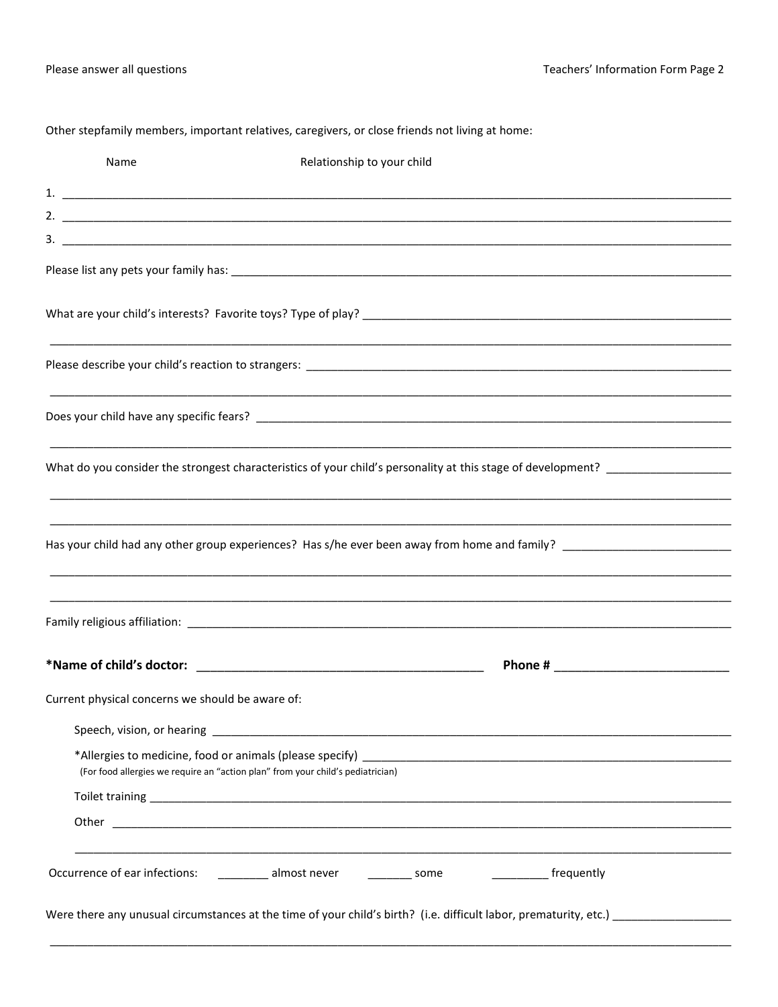Other stepfamily members, important relatives, caregivers, or close friends not living at home:

| Name                                             | Relationship to your child                                                                                                              |
|--------------------------------------------------|-----------------------------------------------------------------------------------------------------------------------------------------|
|                                                  |                                                                                                                                         |
|                                                  |                                                                                                                                         |
|                                                  |                                                                                                                                         |
|                                                  |                                                                                                                                         |
|                                                  |                                                                                                                                         |
|                                                  |                                                                                                                                         |
|                                                  |                                                                                                                                         |
|                                                  |                                                                                                                                         |
|                                                  |                                                                                                                                         |
|                                                  | Has your child had any other group experiences? Has s/he ever been away from home and family? ______________________                    |
|                                                  |                                                                                                                                         |
|                                                  |                                                                                                                                         |
|                                                  |                                                                                                                                         |
|                                                  |                                                                                                                                         |
| Current physical concerns we should be aware of: |                                                                                                                                         |
|                                                  |                                                                                                                                         |
|                                                  | (For food allergies we require an "action plan" from your child's pediatrician)                                                         |
|                                                  |                                                                                                                                         |
|                                                  |                                                                                                                                         |
|                                                  |                                                                                                                                         |
|                                                  | Occurrence of ear infections: __________ almost never _________ some _________________ frequently                                       |
|                                                  | Were there any unusual circumstances at the time of your child's birth? (i.e. difficult labor, prematurity, etc.) _____________________ |
|                                                  |                                                                                                                                         |